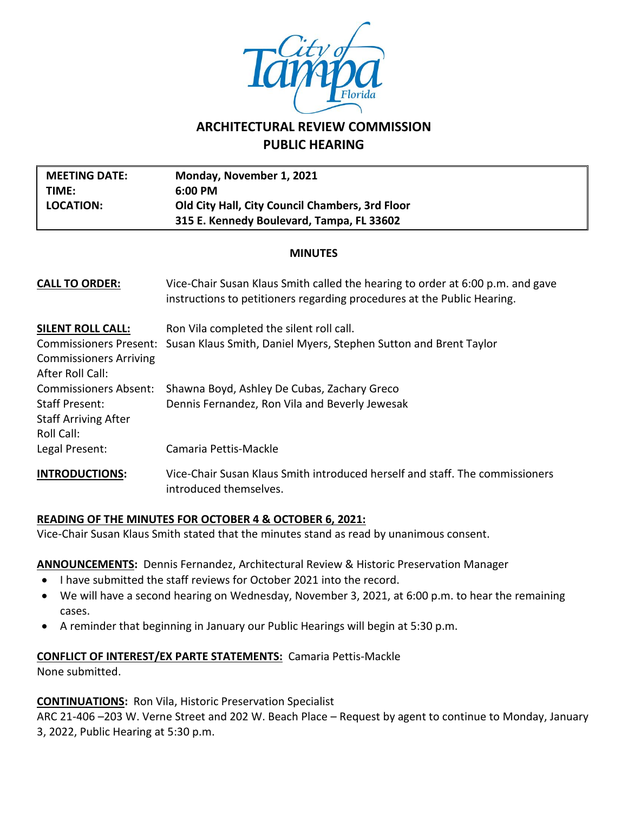

# **ARCHITECTURAL REVIEW COMMISSION PUBLIC HEARING**

| <b>MEETING DATE:</b><br>TIME:<br><b>LOCATION:</b>                                                                    | Monday, November 1, 2021<br>6:00 PM<br>Old City Hall, City Council Chambers, 3rd Floor<br>315 E. Kennedy Boulevard, Tampa, FL 33602                       |  |  |  |
|----------------------------------------------------------------------------------------------------------------------|-----------------------------------------------------------------------------------------------------------------------------------------------------------|--|--|--|
| <b>MINUTES</b>                                                                                                       |                                                                                                                                                           |  |  |  |
| <b>CALL TO ORDER:</b>                                                                                                | Vice-Chair Susan Klaus Smith called the hearing to order at 6:00 p.m. and gave<br>instructions to petitioners regarding procedures at the Public Hearing. |  |  |  |
| <b>SILENT ROLL CALL:</b><br><b>Commissioners Present:</b><br><b>Commissioners Arriving</b><br>After Roll Call:       | Ron Vila completed the silent roll call.<br>Susan Klaus Smith, Daniel Myers, Stephen Sutton and Brent Taylor                                              |  |  |  |
| <b>Commissioners Absent:</b><br><b>Staff Present:</b><br><b>Staff Arriving After</b><br>Roll Call:<br>Legal Present: | Shawna Boyd, Ashley De Cubas, Zachary Greco<br>Dennis Fernandez, Ron Vila and Beverly Jewesak<br>Camaria Pettis-Mackle                                    |  |  |  |
| <b>INTRODUCTIONS:</b>                                                                                                | Vice-Chair Susan Klaus Smith introduced herself and staff. The commissioners<br>introduced themselves.                                                    |  |  |  |

### **READING OF THE MINUTES FOR OCTOBER 4 & OCTOBER 6, 2021:**

Vice-Chair Susan Klaus Smith stated that the minutes stand as read by unanimous consent.

### **ANNOUNCEMENTS:** Dennis Fernandez, Architectural Review & Historic Preservation Manager

- I have submitted the staff reviews for October 2021 into the record.
- We will have a second hearing on Wednesday, November 3, 2021, at 6:00 p.m. to hear the remaining cases.
- A reminder that beginning in January our Public Hearings will begin at 5:30 p.m.

### **CONFLICT OF INTEREST/EX PARTE STATEMENTS:** Camaria Pettis-Mackle

None submitted.

### **CONTINUATIONS:** Ron Vila, Historic Preservation Specialist

ARC 21-406 –203 W. Verne Street and 202 W. Beach Place – Request by agent to continue to Monday, January 3, 2022, Public Hearing at 5:30 p.m.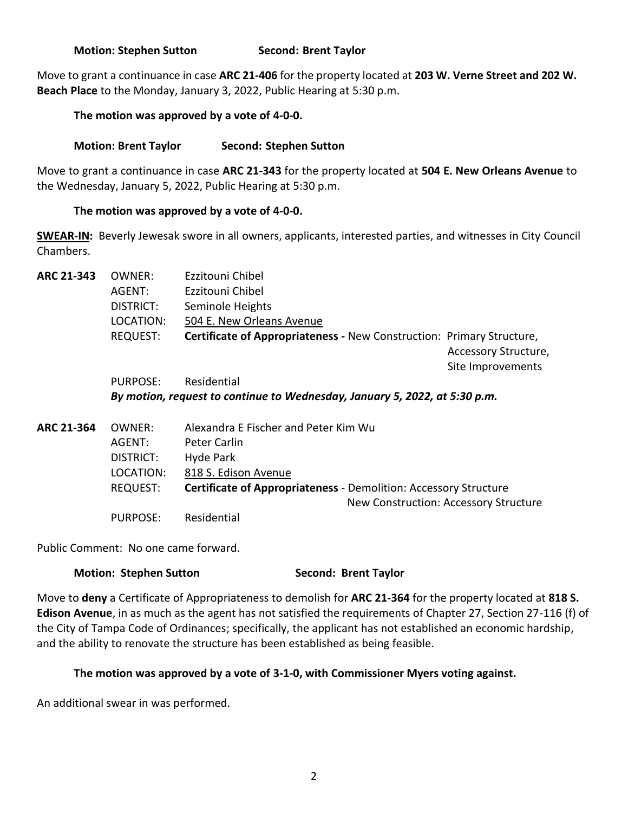### **Motion: Stephen Sutton Second: Brent Taylor**

Move to grant a continuance in case **ARC 21-406** for the property located at **203 W. Verne Street and 202 W. Beach Place** to the Monday, January 3, 2022, Public Hearing at 5:30 p.m.

### **The motion was approved by a vote of 4-0-0.**

### **Motion: Brent Taylor Second: Stephen Sutton**

Move to grant a continuance in case **ARC 21-343** for the property located at **504 E. New Orleans Avenue** to the Wednesday, January 5, 2022, Public Hearing at 5:30 p.m.

### **The motion was approved by a vote of 4-0-0.**

**SWEAR-IN:** Beverly Jewesak swore in all owners, applicants, interested parties, and witnesses in City Council Chambers.

**ARC 21-343** OWNER: Ezzitouni Chibel AGENT: Ezzitouni Chibel DISTRICT: Seminole Heights LOCATION: 504 E. New Orleans Avenue REQUEST: **Certificate of Appropriateness -** New Construction: Primary Structure, Accessory Structure, Site Improvements PURPOSE: Residential

*By motion, request to continue to Wednesday, January 5, 2022, at 5:30 p.m.*

**ARC 21-364** OWNER: Alexandra E Fischer and Peter Kim Wu AGENT: Peter Carlin DISTRICT: Hyde Park LOCATION: 818 S. Edison Avenue REQUEST: **Certificate of Appropriateness** - Demolition: Accessory Structure New Construction: Accessory Structure PURPOSE: Residential

Public Comment: No one came forward.

### **Motion: Stephen Sutton <b>Second: Second: Brent Taylor**

Move to **deny** a Certificate of Appropriateness to demolish for **ARC 21-364** for the property located at **818 S. Edison Avenue**, in as much as the agent has not satisfied the requirements of Chapter 27, Section 27-116 (f) of the City of Tampa Code of Ordinances; specifically, the applicant has not established an economic hardship, and the ability to renovate the structure has been established as being feasible.

### **The motion was approved by a vote of 3-1-0, with Commissioner Myers voting against.**

An additional swear in was performed.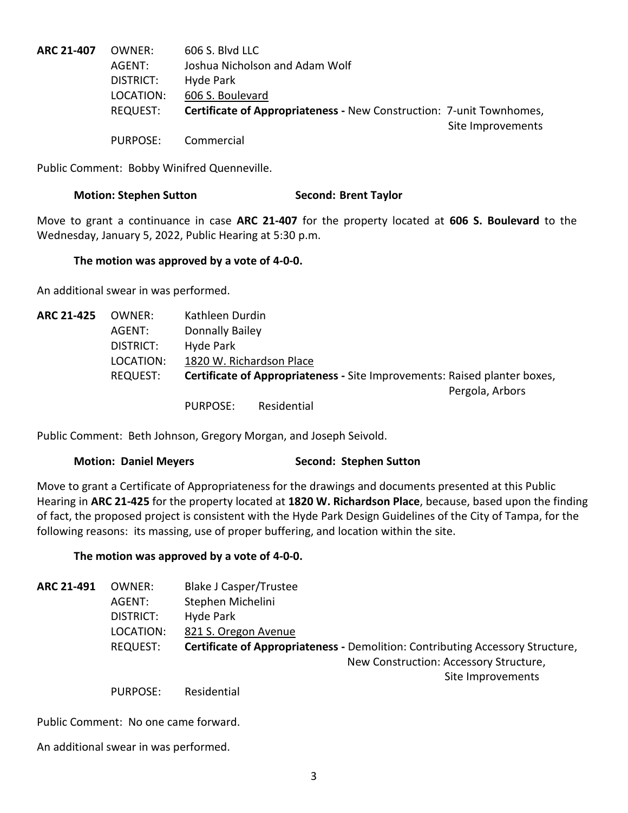| ARC 21-407 | OWNER:    | 606 S. Blvd LLC                                                             |                   |
|------------|-----------|-----------------------------------------------------------------------------|-------------------|
|            | AGENT:    | Joshua Nicholson and Adam Wolf                                              |                   |
|            | DISTRICT: | Hyde Park                                                                   |                   |
|            | LOCATION: | 606 S. Boulevard                                                            |                   |
|            | REQUEST:  | <b>Certificate of Appropriateness - New Construction: 7-unit Townhomes,</b> |                   |
|            |           |                                                                             | Site Improvements |
|            | PURPOSE:  | Commercial                                                                  |                   |

Public Comment: Bobby Winifred Quenneville.

#### **Motion: Stephen Sutton Second: Brent Taylor**

Move to grant a continuance in case **ARC 21-407** for the property located at **606 S. Boulevard** to the Wednesday, January 5, 2022, Public Hearing at 5:30 p.m.

#### **The motion was approved by a vote of 4-0-0.**

An additional swear in was performed.

| ARC 21-425 | OWNER:    | Kathleen Durdin        |                          |                                                                           |                 |
|------------|-----------|------------------------|--------------------------|---------------------------------------------------------------------------|-----------------|
|            | AGENT:    | <b>Donnally Bailey</b> |                          |                                                                           |                 |
|            | DISTRICT: | Hyde Park              |                          |                                                                           |                 |
|            | LOCATION: |                        | 1820 W. Richardson Place |                                                                           |                 |
|            | REQUEST:  |                        |                          | Certificate of Appropriateness - Site Improvements: Raised planter boxes, |                 |
|            |           |                        |                          |                                                                           | Pergola, Arbors |
|            |           | <b>PURPOSE:</b>        | Residential              |                                                                           |                 |

Public Comment: Beth Johnson, Gregory Morgan, and Joseph Seivold.

### **Motion: Daniel Meyers <b>Second: Stephen Sutton**

Move to grant a Certificate of Appropriateness for the drawings and documents presented at this Public Hearing in **ARC 21-425** for the property located at **1820 W. Richardson Place**, because, based upon the finding of fact, the proposed project is consistent with the Hyde Park Design Guidelines of the City of Tampa, for the following reasons: its massing, use of proper buffering, and location within the site.

### **The motion was approved by a vote of 4-0-0.**

| ARC 21-491 | OWNER:          | Blake J Casper/Trustee                                                         |
|------------|-----------------|--------------------------------------------------------------------------------|
|            | AGENT:          | Stephen Michelini                                                              |
|            | DISTRICT:       | Hyde Park                                                                      |
|            | LOCATION:       | 821 S. Oregon Avenue                                                           |
|            | <b>REQUEST:</b> | Certificate of Appropriateness - Demolition: Contributing Accessory Structure, |
|            |                 | New Construction: Accessory Structure,                                         |
|            |                 | Site Improvements                                                              |
|            | <b>PURPOSE:</b> | Residential                                                                    |

Public Comment: No one came forward.

An additional swear in was performed.